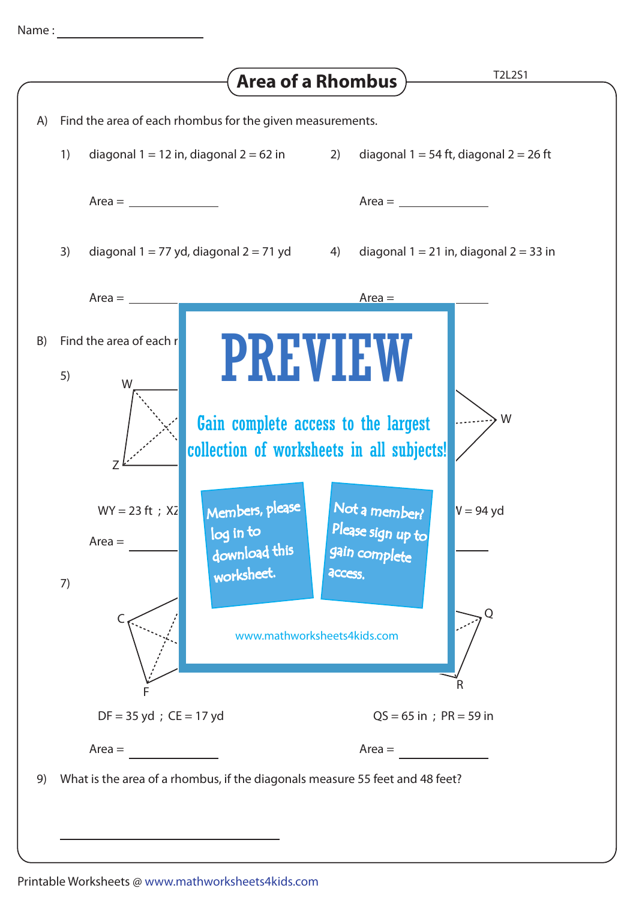